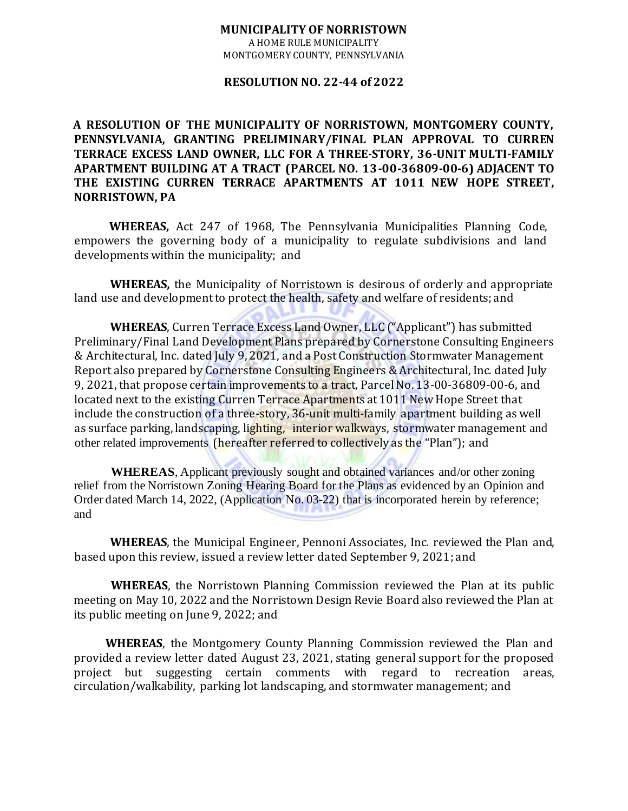## **MUNICIPALITY OF NORRISTOWN**

A HOME RULE MUNICIPALITY MONTGOMERY COUNTY, PENNSYLVANIA

## **RESOLUTION NO. 22-44 of 2022**

**A RESOLUTION OF THE MUNICIPALITY OF NORRISTOWN, MONTGOMERY COUNTY, PENNSYLVANIA, GRANTING PRELIMINARY/FINAL PLAN APPROVAL TO CURREN TERRACE EXCESS LAND OWNER, LLC FOR A THREE-STORY, 36-UNIT MULTI-FAMILY APARTMENT BUILDING AT A TRACT (PARCEL NO. 13-00-36809-00-6) ADJACENT TO THE EXISTING CURREN TERRACE APARTMENTS AT 1011 NEW HOPE STREET, NORRISTOWN, PA** 

**WHEREAS,** Act 247 of 1968, The Pennsylvania Municipalities Planning Code, empowers the governing body of a municipality to regulate subdivisions and land developments within the municipality; and

**WHEREAS,** the Municipality of Norristown is desirous of orderly and appropriate land use and development to protect the health, safety and welfare of residents; and

**WHEREAS**, Curren Terrace Excess Land Owner, LLC ("Applicant") has submitted Preliminary/Final Land Development Plans prepared by Cornerstone Consulting Engineers & Architectural, Inc. dated July 9, 2021, and a Post Construction Stormwater Management Report also prepared by Cornerstone Consulting Engineers & Architectural, Inc. dated July 9, 2021, that propose certain improvements to a tract, Parcel No. 13-00-36809-00-6, and located next to the existing Curren Terrace Apartments at 1011 New Hope Street that include the construction of a three-story, 36-unit multi-family apartment building as well as surface parking, landscaping, lighting, interior walkways, stormwater management and other related improvements (hereafter referred to collectively as the "Plan"); and

**WHEREAS**, Applicant previously sought and obtained variances and/or other zoning relief from the Norristown Zoning Hearing Board for the Plans as evidenced by an Opinion and Order dated March 14, 2022, (Application No. 03-22) that is incorporated herein by reference; and

**WHEREAS**, the Municipal Engineer, Pennoni Associates, Inc. reviewed the Plan and, based upon this review, issued a review letter dated September 9, 2021; and

**WHEREAS**, the Norristown Planning Commission reviewed the Plan at its public meeting on May 10, 2022 and the Norristown Design Revie Board also reviewed the Plan at its public meeting on June 9, 2022; and

**WHEREAS**, the Montgomery County Planning Commission reviewed the Plan and provided a review letter dated August 23, 2021, stating general support for the proposed project but suggesting certain comments with regard to recreation areas, circulation/walkability, parking lot landscaping, and stormwater management; and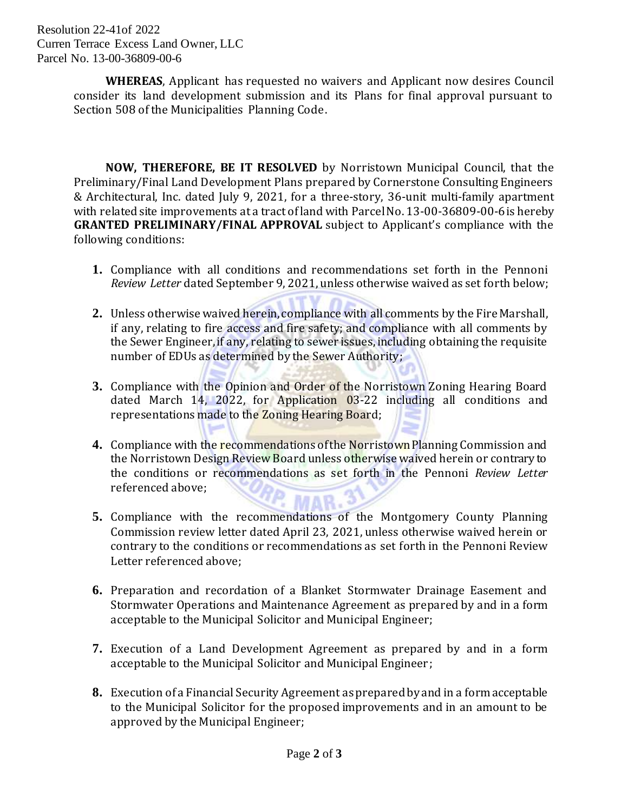Resolution 22-41of 2022 Curren Terrace Excess Land Owner, LLC Parcel No. 13-00-36809-00-6

> **WHEREAS**, Applicant has requested no waivers and Applicant now desires Council consider its land development submission and its Plans for final approval pursuant to Section 508 of the Municipalities Planning Code.

> **NOW, THEREFORE, BE IT RESOLVED** by Norristown Municipal Council, that the Preliminary/Final Land Development Plans prepared by Cornerstone Consulting Engineers & Architectural, Inc. dated July 9, 2021, for a three-story, 36-unit multi-family apartment with related site improvements at a tract of land with Parcel No. 13-00-36809-00-6is hereby **GRANTED PRELIMINARY/FINAL APPROVAL** subject to Applicant's compliance with the following conditions:

- **1.** Compliance with all conditions and recommendations set forth in the Pennoni *Review Letter* dated September 9, 2021, unless otherwise waived as set forth below;
- **2.** Unless otherwise waived herein, compliance with all comments by the Fire Marshall, if any, relating to fire access and fire safety; and compliance with all comments by the Sewer Engineer, if any, relating to sewer issues, including obtaining the requisite number of EDUs as determined by the Sewer Authority;
- **3.** Compliance with the Opinion and Order of the Norristown Zoning Hearing Board dated March 14, 2022, for Application 03-22 including all conditions and representations made to the Zoning Hearing Board;
- **4.** Compliance with the recommendations of the Norristown Planning Commission and the Norristown Design Review Board unless otherwise waived herein or contrary to the conditions or recommendations as set forth in the Pennoni *Review Letter* referenced above;
- **5.** Compliance with the recommendations of the Montgomery County Planning Commission review letter dated April 23, 2021, unless otherwise waived herein or contrary to the conditions or recommendations as set forth in the Pennoni Review Letter referenced above;
- **6.** Preparation and recordation of a Blanket Stormwater Drainage Easement and Stormwater Operations and Maintenance Agreement as prepared by and in a form acceptable to the Municipal Solicitor and Municipal Engineer;
- **7.** Execution of a Land Development Agreement as prepared by and in a form acceptable to the Municipal Solicitor and Municipal Engineer;
- **8.** Execution of a Financial Security Agreement as prepared by and in a form acceptable to the Municipal Solicitor for the proposed improvements and in an amount to be approved by the Municipal Engineer;